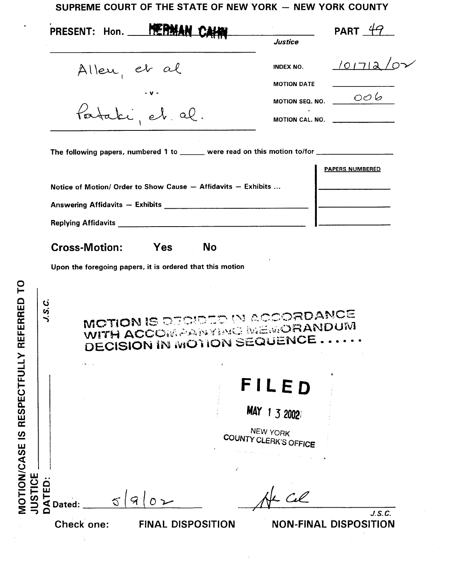## SUPREME COURT OF THE STATE OF NEW YORK - NEW YORK COUNTY

|                 | PRESENT: Hon.        | <b>DE NA</b>                                                                                                                                                                                                                   |           | Justice                                                                                              | PART $4$               |
|-----------------|----------------------|--------------------------------------------------------------------------------------------------------------------------------------------------------------------------------------------------------------------------------|-----------|------------------------------------------------------------------------------------------------------|------------------------|
|                 | Allen, et al         |                                                                                                                                                                                                                                |           | INDEX NO.                                                                                            | <u>101712</u>          |
|                 |                      |                                                                                                                                                                                                                                |           | <b>MOTION DATE</b><br>MOTION SEQ. NO.                                                                | 006                    |
|                 |                      | Pataki et al.                                                                                                                                                                                                                  |           |                                                                                                      | MOTION CAL. NO.        |
|                 |                      |                                                                                                                                                                                                                                |           | The following papers, numbered 1 to ______ were read on this motion to/for _________________________ |                        |
|                 |                      | Notice of Motion/ Order to Show Cause - Affidavits - Exhibits                                                                                                                                                                  |           |                                                                                                      | <b>PAPERS NUMBERED</b> |
|                 |                      | Answering Affidavits - Exhibits [1986] [1986] [1986] [1986] [1986] [1986] [1986] [1986] [1986] [1986] [1986] [1986] [1986] [1986] [1986] [1986] [1986] [1986] [1986] [1986] [1986] [1986] [1986] [1986] [1986] [1986] [1986] [ |           |                                                                                                      |                        |
|                 |                      | Replying Affidavits Manuscriptus Affidavits Manuscriptus Affidavits                                                                                                                                                            |           |                                                                                                      |                        |
|                 | <b>Cross-Motion:</b> | <b>Paradox</b> Yes                                                                                                                                                                                                             | <b>No</b> |                                                                                                      |                        |
|                 |                      |                                                                                                                                                                                                                                |           |                                                                                                      |                        |
|                 |                      | Upon the foregoing papers, it is ordered that this motion                                                                                                                                                                      |           |                                                                                                      |                        |
| S<br><b>S.V</b> |                      |                                                                                                                                                                                                                                |           | MOTION IS DECIDED IN ACCORDANCE<br>WITH ACCOMPANY MEMORANDUM<br><b>DECISION IN MOTION SEQUENCE</b>   |                        |
|                 |                      |                                                                                                                                                                                                                                |           | FILED                                                                                                |                        |
|                 |                      |                                                                                                                                                                                                                                |           | MAY 1 3 2002                                                                                         |                        |
|                 |                      |                                                                                                                                                                                                                                |           | NEW YORK<br>COUNTY CLERK'S OFFICE                                                                    |                        |
| TED             |                      |                                                                                                                                                                                                                                |           |                                                                                                      |                        |

 $\hat{\mathcal{A}}$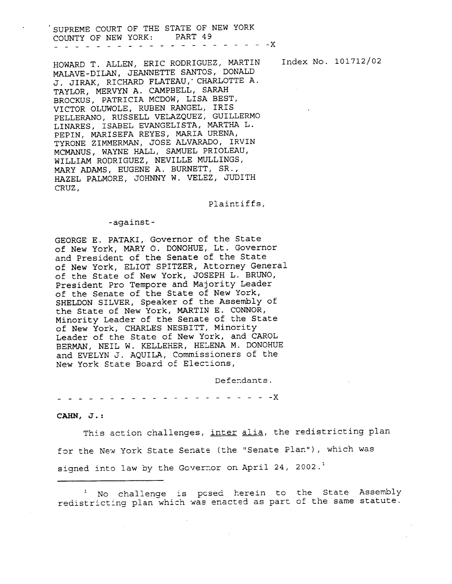-\_--\_-\_--- -x NOUNTY OF NEW YORK: PART 49 SUPREME COURT OF THE STATE OF NEW YORK

HAZEL PALMORE, JOHNNY W. VELEZ, JUDITH CRUZ, WILLINGS, WENTLE MULLINGS, MARY ADAMS, EUGENE A. BURNETT, SR., TILIN, IIMIELINIAN, JOSE ALVARADO, IRVIN MCMANUS, WAYNE HALL, SAMUEL PRIOLEAU, PEPIN, MARISEFA REYES, MARIA URENA, PELLERANO, RUSSELL VELAZQUEZ, GUILLERMO LINARES, ISABEL EVANGELISTA, MARTHA L. XICCHIC, LINOLE, RUBEN RANGEL, IRIS ILING BILEY, JERO FLATEAU, CHARLOTTE A. TAYLOR, MERVYN A. CAMPBELL, SARAH BROCKUS, PATRICIA MCDOW, LISA BEST, MALAVE-DILAN, JEANNETTE SANTOS, DONALD HOWARD T. ALLEN, ERIC RODRIGUEZ, MARTIN

Plaintiffs,

## -against-

the State of New York, MARTIN E. CONNOR, Minority Leader of the Senate of the State of New York, CHARLES NESBITT, Minority Leader of the State of New York, and CAROL BERMAN, NEIL W. KELLEHER, HELENA M. DONOHUE and EVELYN J. AQUILA, Commissioners of the New York State Board of Elections, GEORGE E. PATAKI, Governor of the State of New York, MARY 0. DONOHUE, Lt. Governor and President of the Senate of the State of New York, ELIOT SPITZER, Attorney General of the State of New York, JOSEPH L. BRUNO, President Pro Tempore and Majority Leader of the Senate of the State of New York, SHELDON SILVER, Speaker of the Assembly of

Defendants.

 $- - - - - - -$ 

## CAHN, J.:

signed into law by the Governor on April 24, 2002. $^1$ for the New York State Senate (the "Senate Plan"), which was This action challenges, inter alia, the redistricting plan

<sup>1</sup> No challenge is posed herein to the State Assembly redistricting plan which was enacted as part of the same statute.

Index No. 101712/02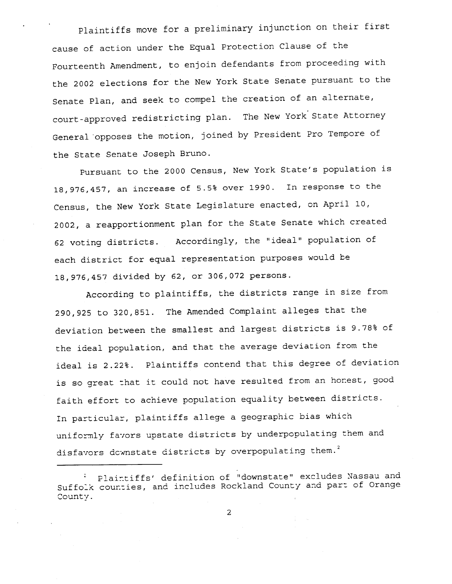Plaintiffs move for a preliminary injunction on their first cause of action under the Equal Protection Clause of the Fourteenth Amendment, to enjoin defendants from proceeding with the 2002 elections for the New York State Senate pursuant to the Senate Plan, and seek to compel the creation of an alternate, court-approved redistricting plan. The New York State Attorney General 'opposes the motion, joined by President Pro Tempore of the State Senate Joseph Bruno.

18,976,457 divided by 62, or 306,072 persons. 12 voting districts. Accordingly, the "ideal" population of each district for equal representation purposes would be 18,976,457, an increase of 5.5% over 1990. In response to the Census, the New York State Legislature enacted, on April 10, 2002, a reapportionment plan for the State Senate which created Pursuant to the 2000 Census, New York State's population is

disfavors downstate districts by overpopulating them. iniformly favors upstate districts by underpopulating them and According to plaintiffs, the districts range in size from 290,925 to 320,851. The Amended Complaint alleges that the deviation between the smallest and largest districts is 9.78% of the ideal population, and that the average deviation from the ideal is 2.22%. Plaintiffs contend that this degree of deviation is so great that it could not have resulted from an honest, good faith effort to achieve population equality between districts. In particular, plaintiffs allege a geographic bias which

Suffolk counties, and includes Rockland County and part of Orange County. Plairtiffs' definition of "downstate" excludes Nassau and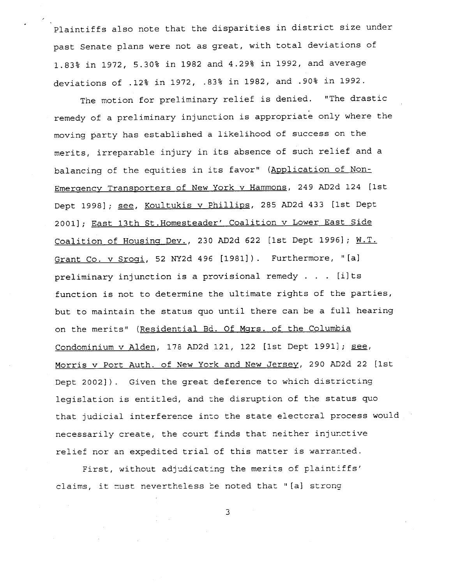.90% in 1992. .12% in 1972, .83% in 1982, and deviations of Plaintiffs also note that the disparities in district size under past Senate plans were not as great, with total deviations of 1.83% in 1972, 5.30% in 1982 and 4.29% in 1992, and average

I

that judicial interference into the state electoral process woul necessarily create, the court finds that neither injunctive relief nor an expedited trial of this matter is warranted. <u>Morris v Port Auth. of New York and New Jersey</u>, 290 AD2d 22 [1st Dept 2002]). Given the great deference to which districting legislation is entitled, and the disruption of the status quo Condominium v Alden, 178 AD2d 121, 122 [1st Dept 1991]; <u>see</u> on the merits" (<u>Residential Bd. Of Mgrs. of the Columbi</u>a preliminary injunction is a provisional remedy . . . [i]ts function is not to determine the ultimate rights of the parties, but to maintain the status quo until there can be a full hearing <u>Grant Co. v Srogi</u>, 52 NY2d 496 [1981]). Furthermore, "[a] <u>Coalition of Housing Dev.</u>, 230 AD2d 622 [1st Dept 1996]; <u>W.T</u> 2001]; <u>East 13th St.Homesteader' Coalition v Lower East Sid</u> Dept 1998]; <u>see, Koultukis v Phillips</u>, 285 AD2d 433 [1st Dept <u>Emergency Transporters of New York v Hammons</u>, 249 AD2d 124 [1st balancing of the equities in its favor" (<u>Application of Non-</u> The motion for preliminary relief is denied. "The drastic remedy of a preliminary injunction is appropriate only where the moving party has established a likelihood of success on the merits, irreparable injury in its absence of such relief and a

claims, it must nevertheless be noted that "[a] strong First, without adjudicating the merits of plaintiffs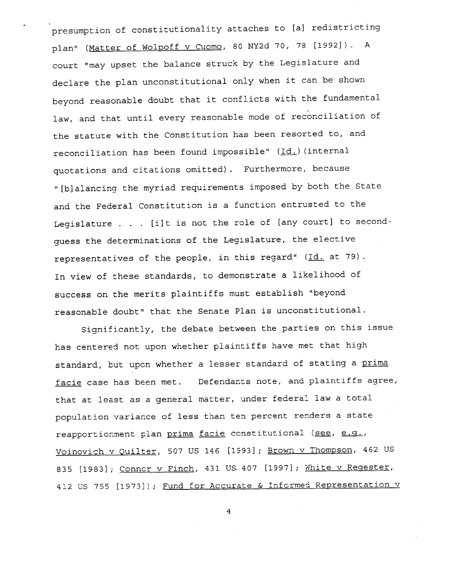representatives of the people, in this regard" (<u>Id.</u> at 79). In view of these standards, to demonstrate a likelihood of success on the merits plaintiffs must establish "beyond reasonable doubt" that the Senate Plan is unconstitutional. Legislature . . . [i]t is not the role of [any court] to secondguess the determinations of the Legislature, the elective "[blalancing the myriad requirements imposed by both the State and the Federal Constitution is a function entrusted to the reconciliation has been found impossible" (Id.)(internal quotations and citations omitted). Furthermore, because court "may upset the balance struck by the Legislature and declare the plan unconstitutional only when it can be shown beyond reasonable doubt that it conflicts with the fundamental law, and that until every reasonable mode of reconciliation of the statute with the Constitution has been resorted to, and olan" (<u>Matter of Wolpoff v Cuomo</u>, 80 NY2d 70, 78 [1992]). A presumption of constitutionality attaches to [al redistricting

412 US 755 [1973]); <u>Fund for Accurate & Informed Representation v</u> 835 [1983]; <u>Conner v Finch</u>, 431 US 407 [1997]; <u>White v Regester</u> <u>Voinovich v Quilter</u>, 507 US 146 [1993]; <u>Brown v Thompson</u>, 462 U reapportionment plan <u>prima</u> facie constitutional (see, e.g., standard, but upon whether a lesser standard of stating a <u>prim</u>a facie case has been met. Defendants note, and plaintiffs agree, that at least as a general matter, under federal law a total population variance of less than ten percent renders a state Significantly, the debate between the parties on this issue has centered not upon whether plaintiffs have met that high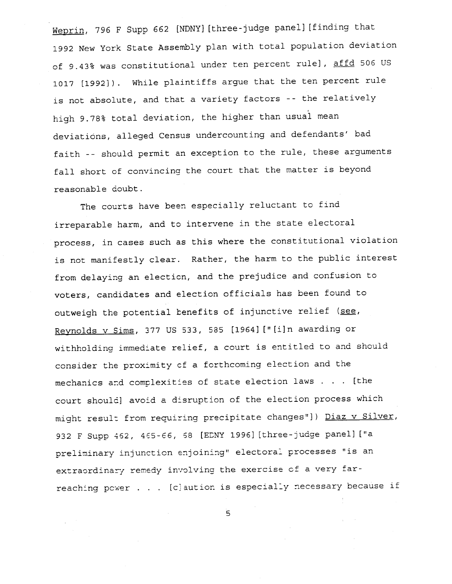high 9.78% total deviation, the higher than usual mean deviations, alleged Census undercounting and defendants' bad faith -- should permit an exception to the rule, these arguments fall short of convincing the court that the matter is beyond reasonable doubt. 1017 [1992]). While plaintiffs argue that the ten percent rul is not absolute, and that a variety factors -- the relatively Weprin, 796 F Supp 662 [NDNY] [three-judge panel] [finding that 1992 New York State Assembly plan with total population deviation of 9.43% was constitutional under ten percent rule], affd 506 US

reaching power . . . [c]aution is especially necessary because if extraordinary remedy involving the exercise of a very farpreliminary injunction enjoining" electoral processes "is an 932 F Supp 462, 465-66, 68 [EDNY 1996][three-judge panel]["a mechanics and complexities of state election laws . . . [the court should] avoid a disruption of the election process which might result from requiring precipitate changes"]) Diaz v Silver, <u>Reynolds v Sims</u>, 377 US 533, 585 [1964]["[i]n awarding or withholding immediate relief, a court is entitled to and should consider the proximity cf a forthcoming election and the outweigh the potential benefits of injunctive relief (<u>see</u>, from delaying an electicn, and the prejudice and confusion to voters, candidates and election officials has been found to The courts have been especially reluctant to find irreparable harm, and to intervene in the state electoral process, in cases such **as** this where the constitutional violation is not manifestly clear. Rather, the harm to the public interest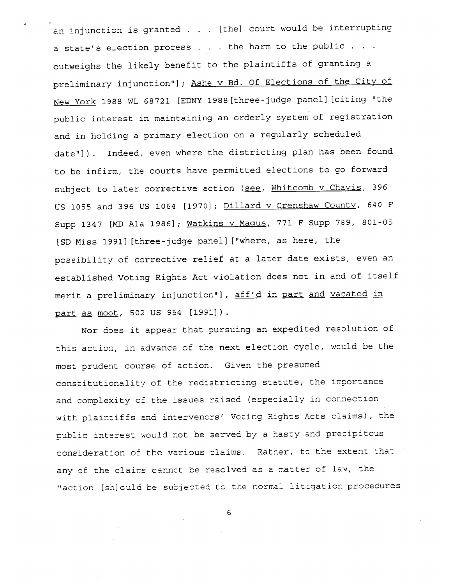<u>part as moot</u>, 502 US 954 [1991]). merit a preliminary injunction"], <u>aff'd in part and vacated in</u> established Voting Rights Act violation does not in and of itself [SD Miss 1991][three-judge panel]["where, as here, the possibility of corrective relief at a later date exists, even an Supp 1347 [MD Ala 1986]; <u>Watkins v Magus</u>, 771 F Supp 789, 801-0 US 1055 and 396 US 1064 [1970]; <u>Dillard v Crenshaw County</u>, 640 subject to later corrective action (<u>see, Whitcomb v Chavis</u>, 396 date"]). Indeed, even where the districting plan has been four to be infirm, the courts have permitted elections to go forward New York 1988 WL 68721 [EDNY 1988|three-judge panel][citing "the public interest in maintaining an orderly system of registration and in holding a primary election on a regularly scheduled preliminary injunction"]; <u>Ashe v Bd. Of Elections of the City o</u> a state's election process . . . the harm to the public . . . outweighs the likely benefit to the plaintiffs of granting a an injunction is granted . . . [the] court would be interrupting

\_

'action [sh]culd be subjected to the normal litigation procedures any of the claims cannct be resolved as a matter of law, the consideration of the various claims. Rather, to the extent that public interest would not be served by a hasty and precipitous with plaintiffs and intervencrs' Voting Rights Acts claims), the constitutionality of the redistricting statute, the importanc and complexity cf the issues raised (especially in connection this action, in advance of the next election cycle, would be the most prudent course of action. Given the presumed Nor does it appear that pursuing an expedited resolution of